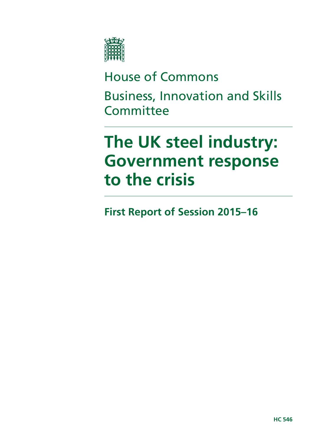

## House of Commons

Business, Innovation and Skills **Committee** 

# **The UK steel industry: Government response to the crisis**

**First Report of Session 2015–16**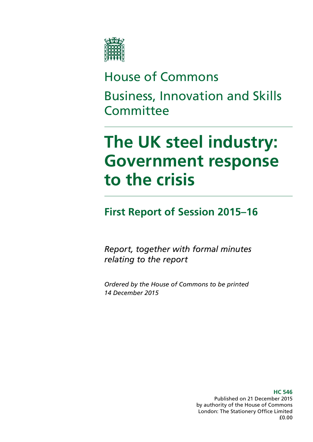

## House of Commons

Business, Innovation and Skills **Committee** 

# **The UK steel industry: Government response to the crisis**

## **First Report of Session 2015–16**

*Report, together with formal minutes relating to the report*

*Ordered by the House of Commons to be printed 14 December 2015*

> **HC 546** Published on 21 December 2015 by authority of the House of Commons London: The Stationery Office Limited £0.00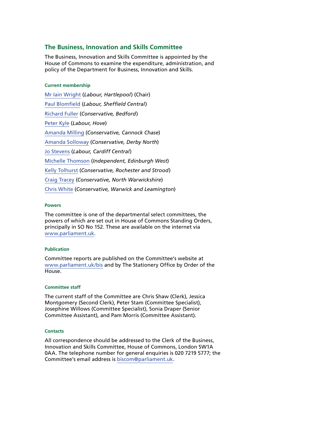### **The Business, Innovation and Skills Committee**

The Business, Innovation and Skills Committee is appointed by the House of Commons to examine the expenditure, administration, and policy of the Department for Business, Innovation and Skills.

#### **Current membership**

[Mr Iain Wright](http://www.parliament.uk/biographies/commons/mr-iain-wright/1478) (*Labour, Hartlepool*) (Chair) [Paul Blomfield](http://www.parliament.uk/biographies/commons/paul-blomfield/4058) (*Labour, Sheffield Central*) [Richard Fuller](http://www.parliament.uk/biographies/commons/richard-fuller/3912) (*Conservative, Bedford*) [Peter Kyle](http://www.parliament.uk/biographies/commons/peter-kyle/4505) (*Labour, Hove*) [Amanda Milling](http://www.parliament.uk/biographies/commons/amanda-milling/4454) (*Conservative, Cannock Chase*) [Amanda Solloway](http://www.parliament.uk/biographies/commons/amanda-solloway/4372) (*Conservative, Derby North*) [Jo Stevens](http://www.parliament.uk/biographies/commons/jo-stevens/4425) (*Labour, Cardiff Central*) [Michelle Thomson](http://www.parliament.uk/biographies/commons/michelle-thomson/4422) (*Independent, Edinburgh West*) [Kelly Tolhurst](http://www.parliament.uk/biographies/commons/kelly-tolhurst/4487) (*Conservative, Rochester and Strood*) [Craig Tracey](http://www.parliament.uk/biographies/commons/craig-tracey/4509) (*Conservative, North Warwickshire*) [Chris White](http://www.parliament.uk/biographies/commons/chris-white/4114) (*Conservative, Warwick and Leamington*)

#### **Powers**

The committee is one of the departmental select committees, the powers of which are set out in House of Commons Standing Orders, principally in SO No 152. These are available on the internet via [www.parliament.uk](http://www.parliament.uk).

#### **Publication**

Committee reports are published on the Committee's website at [www.parliament.uk/bis](http://www.parliament.uk/bis) and by The Stationery Office by Order of the House.

#### **Committee staff**

The current staff of the Committee are Chris Shaw (Clerk), Jessica Montgomery (Second Clerk), Peter Stam (Committee Specialist), Josephine Willows (Committee Specialist), Sonia Draper (Senior Committee Assistant), and Pam Morris (Committee Assistant).

#### **Contacts**

All correspondence should be addressed to the Clerk of the Business, Innovation and Skills Committee, House of Commons, London SW1A 0AA. The telephone number for general enquiries is 020 7219 5777; the Committee's email address is [biscom@parliament.uk](mailto:biscom@parliament.uk).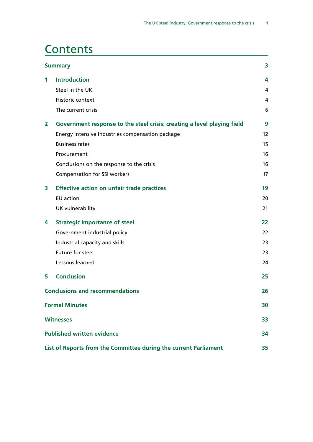## **Contents**

|   | <b>Summary</b>                                                          | 3                 |
|---|-------------------------------------------------------------------------|-------------------|
| 1 | <b>Introduction</b>                                                     | 4                 |
|   | Steel in the UK                                                         | 4                 |
|   | Historic context                                                        | 4                 |
|   | The current crisis                                                      | 6                 |
| 2 | Government response to the steel crisis: creating a level playing field | 9                 |
|   | Energy Intensive Industries compensation package                        | $12 \overline{ }$ |
|   | <b>Business rates</b>                                                   | 15                |
|   | Procurement                                                             | 16                |
|   | Conclusions on the response to the crisis                               | 16                |
|   | <b>Compensation for SSI workers</b>                                     | 17                |
| 3 | <b>Effective action on unfair trade practices</b>                       | 19                |
|   | <b>EU</b> action                                                        | 20                |
|   | UK vulnerability                                                        | 21                |
| 4 | <b>Strategic importance of steel</b>                                    | 22                |
|   | Government industrial policy                                            | 22                |
|   | Industrial capacity and skills                                          | 23                |
|   | Future for steel                                                        | 23                |
|   | Lessons learned                                                         | 24                |
| 5 | <b>Conclusion</b>                                                       | 25                |
|   | <b>Conclusions and recommendations</b>                                  | 26                |
|   | <b>Formal Minutes</b>                                                   | 30                |
|   | <b>Witnesses</b>                                                        | 33                |
|   | <b>Published written evidence</b>                                       | 34                |
|   | List of Reports from the Committee during the current Parliament        | 35                |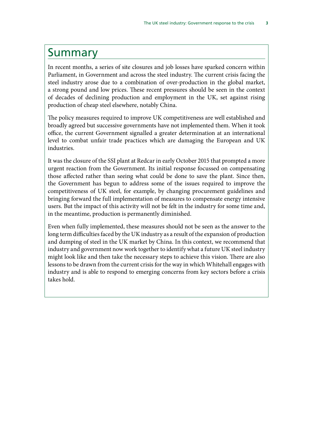## <span id="page-6-0"></span>Summary

In recent months, a series of site closures and job losses have sparked concern within Parliament, in Government and across the steel industry. The current crisis facing the steel industry arose due to a combination of over-production in the global market, a strong pound and low prices. These recent pressures should be seen in the context of decades of declining production and employment in the UK, set against rising production of cheap steel elsewhere, notably China.

The policy measures required to improve UK competitiveness are well established and broadly agreed but successive governments have not implemented them. When it took office, the current Government signalled a greater determination at an international level to combat unfair trade practices which are damaging the European and UK industries.

It was the closure of the SSI plant at Redcar in early October 2015 that prompted a more urgent reaction from the Government. Its initial response focussed on compensating those affected rather than seeing what could be done to save the plant. Since then, the Government has begun to address some of the issues required to improve the competitiveness of UK steel, for example, by changing procurement guidelines and bringing forward the full implementation of measures to compensate energy intensive users. But the impact of this activity will not be felt in the industry for some time and, in the meantime, production is permanently diminished.

Even when fully implemented, these measures should not be seen as the answer to the long term difficulties faced by the UK industry as a result of the expansion of production and dumping of steel in the UK market by China. In this context, we recommend that industry and government now work together to identify what a future UK steel industry might look like and then take the necessary steps to achieve this vision. There are also lessons to be drawn from the current crisis for the way in which Whitehall engages with industry and is able to respond to emerging concerns from key sectors before a crisis takes hold.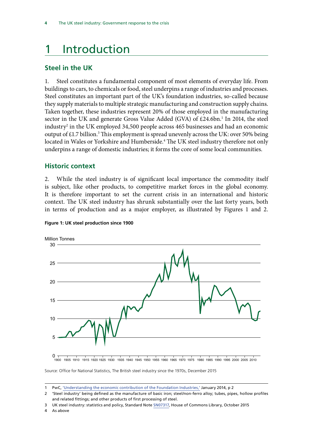## <span id="page-7-0"></span>1 Introduction

### **Steel in the UK**

1. Steel constitutes a fundamental component of most elements of everyday life. From buildings to cars, to chemicals or food, steel underpins a range of industries and processes. Steel constitutes an important part of the UK's foundation industries, so-called because they supply materials to multiple strategic manufacturing and construction supply chains. Taken together, these industries represent 20% of those employed in the manufacturing sector in the UK and generate Gross Value Added (GVA) of £24.6bn.<sup>1</sup> In 2014, the steel industry2 in the UK employed 34,500 people across 465 businesses and had an economic output of £1.7 billion.<sup>3</sup> This employment is spread unevenly across the UK: over 50% being located in Wales or Yorkshire and Humberside.4 The UK steel industry therefore not only underpins a range of domestic industries; it forms the core of some local communities.

### **Historic context**

2. While the steel industry is of significant local importance the commodity itself is subject, like other products, to competitive market forces in the global economy. It is therefore important to set the current crisis in an international and historic context. The UK steel industry has shrunk substantially over the last forty years, both in terms of production and as a major employer, as illustrated by Figures 1 and 2.



**Figure 1: UK steel production since 1900** 

0 1900 1905 1910 1915 1920 1925 1930 1935 1940 1945 1950 1955 1960 1965 1970 1975 1980 1985 1990 1995 2000 2005 2010

Source: Office for National Statistics, The British steel industry since the 1970s, December 2015

4 As above

<sup>1</sup> PwC, ['Understanding the economic contribution of the Foundation Industries,'](http://www.tatasteeleurope.com/static_files/StaticFiles/Functions/Media/Foundation_Industries_Report.pdf) January 2014, p 2

<sup>2</sup> 'Steel industry' being defined as the manufacture of basic iron; steel/non-ferro alloy; tubes, pipes, hollow profiles and related fittings; and other products of first processing of steel.

<sup>3</sup> UK steel industry: statistics and policy, Standard Note [SN07317](http://researchbriefings.files.parliament.uk/documents/CBP-7317/CBP-7317.pdf), House of Commons Library, October 2015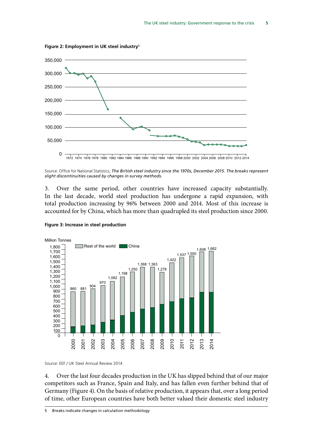

**Figure 2: Employment in UK steel industry**<sup>5</sup>

Source: Office for National Statistics, *The British steel industry since the 1970s, December 2015. The breaks represent slight discontinuities caused by changes in survey methods.* 

3. Over the same period, other countries have increased capacity substantially. In the last decade, world steel production has undergone a rapid expansion, with total production increasing by 96% between 2000 and 2014. Most of this increase is accounted for by China, which has more than quadrupled its steel production since 2000.





Source: EEF / UK Steel Annual Review 2014

4. Over the last four decades production in the UK has slipped behind that of our major competitors such as France, Spain and Italy, and has fallen even further behind that of Germany (Figure 4). On the basis of relative production, it appears that, over a long period of time, other European countries have both better valued their domestic steel industry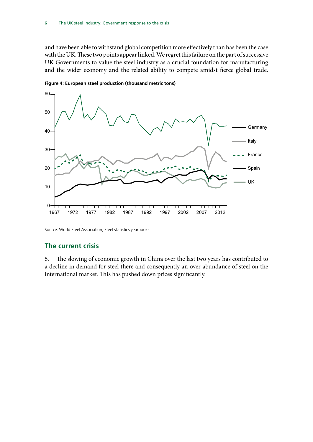<span id="page-9-0"></span>and have been able to withstand global competition more effectively than has been the case with the UK. These two points appear linked. We regret this failure on the part of successive UK Governments to value the steel industry as a crucial foundation for manufacturing and the wider economy and the related ability to compete amidst fierce global trade.



**Figure 4: European steel production (thousand metric tons)**

Source: World Steel Association, Steel statistics yearbooks

### **The current crisis**

5. The slowing of economic growth in China over the last two years has contributed to a decline in demand for steel there and consequently an over-abundance of steel on the international market. This has pushed down prices significantly.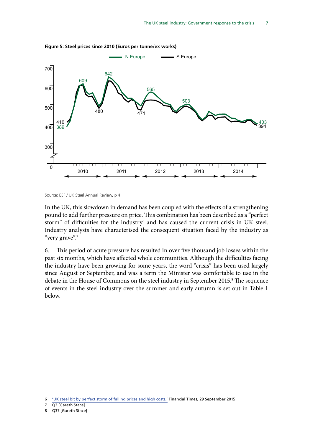

**Figure 5: Steel prices since 2010 (Euros per tonne/ex works)**

Source: EEF / UK Steel Annual Review, p 4

In the UK, this slowdown in demand has been coupled with the effects of a strengthening pound to add further pressure on price. This combination has been described as a "perfect storm" of difficulties for the industry $6$  and has caused the current crisis in UK steel. Industry analysts have characterised the consequent situation faced by the industry as "very grave".<sup>7</sup>

6. This period of acute pressure has resulted in over five thousand job losses within the past six months, which have affected whole communities. Although the difficulties facing the industry have been growing for some years, the word "crisis" has been used largely since August or September, and was a term the Minister was comfortable to use in the debate in the House of Commons on the steel industry in September 2015.<sup>8</sup> The sequence of events in the steel industry over the summer and early autumn is set out in Table 1 below.

<sup>6</sup> 'UK steel bit by perfect storm of falling prices and high costs,' Financial Times, 29 September 2015

<sup>7</sup> Q3 [Gareth Stace]

<sup>8</sup> Q37 [Gareth Stace]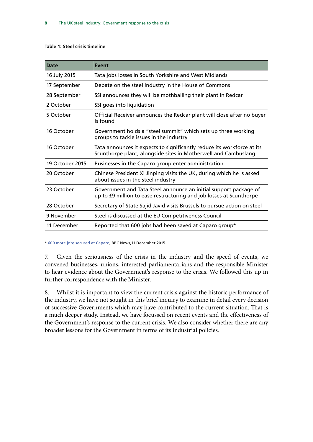#### **Table 1: Steel crisis timeline**

| <b>Date</b>     | Event                                                                                                                                    |
|-----------------|------------------------------------------------------------------------------------------------------------------------------------------|
| 16 July 2015    | Tata jobs losses in South Yorkshire and West Midlands                                                                                    |
| 17 September    | Debate on the steel industry in the House of Commons                                                                                     |
| 28 September    | SSI announces they will be mothballing their plant in Redcar                                                                             |
| 2 October       | SSI goes into liquidation                                                                                                                |
| 5 October       | Official Receiver announces the Redcar plant will close after no buyer<br>is found                                                       |
| 16 October      | Government holds a "steel summit" which sets up three working<br>groups to tackle issues in the industry                                 |
| 16 October      | Tata announces it expects to significantly reduce its workforce at its<br>Scunthorpe plant, alongside sites in Motherwell and Cambuslang |
| 19 October 2015 | Businesses in the Caparo group enter administration                                                                                      |
| 20 October      | Chinese President Xi Jinping visits the UK, during which he is asked<br>about issues in the steel industry                               |
| 23 October      | Government and Tata Steel announce an initial support package of<br>up to £9 million to ease restructuring and job losses at Scunthorpe  |
| 28 October      | Secretary of State Sajid Javid visits Brussels to pursue action on steel                                                                 |
| 9 November      | Steel is discussed at the EU Competitiveness Council                                                                                     |
| 11 December     | Reported that 600 jobs had been saved at Caparo group*                                                                                   |

\* [600 more jobs secured at Caparo](http://www.bbc.co.uk/news/uk-england-35069037), BBC News,11 December 2015

7. Given the seriousness of the crisis in the industry and the speed of events, we convened businesses, unions, interested parliamentarians and the responsible Minister to hear evidence about the Government's response to the crisis. We followed this up in further correspondence with the Minister.

8. Whilst it is important to view the current crisis against the historic performance of the industry, we have not sought in this brief inquiry to examine in detail every decision of successive Governments which may have contributed to the current situation. That is a much deeper study. Instead, we have focussed on recent events and the effectiveness of the Government's response to the current crisis. We also consider whether there are any broader lessons for the Government in terms of its industrial policies.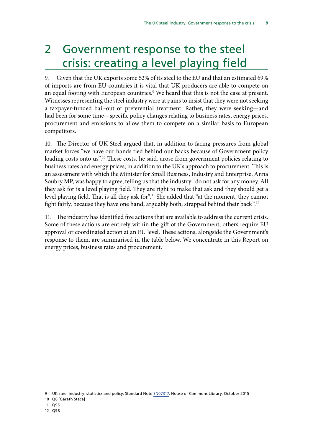## <span id="page-12-0"></span>2 Government response to the steel crisis: creating a level playing field

9. Given that the UK exports some 52% of its steel to the EU and that an estimated 69% of imports are from EU countries it is vital that UK producers are able to compete on an equal footing with European countries.<sup>9</sup> We heard that this is not the case at present. Witnesses representing the steel industry were at pains to insist that they were not seeking a taxpayer-funded bail-out or preferential treatment. Rather, they were seeking—and had been for some time—specific policy changes relating to business rates, energy prices, procurement and emissions to allow them to compete on a similar basis to European competitors.

10. The Director of UK Steel argued that, in addition to facing pressures from global market forces "we have our hands tied behind our backs because of Government policy loading costs onto us".<sup>10</sup> These costs, he said, arose from government policies relating to business rates and energy prices, in addition to the UK's approach to procurement. This is an assessment with which the Minister for Small Business, Industry and Enterprise, Anna Soubry MP, was happy to agree, telling us that the industry "do not ask for any money. All they ask for is a level playing field. They are right to make that ask and they should get a level playing field. That is all they ask for".<sup>11</sup> She added that "at the moment, they cannot fight fairly, because they have one hand, arguably both, strapped behind their back".<sup>12</sup>

11. The industry has identified five actions that are available to address the current crisis. Some of these actions are entirely within the gift of the Government; others require EU approval or coordinated action at an EU level. These actions, alongside the Government's response to them, are summarised in the table below. We concentrate in this Report on energy prices, business rates and procurement.

10 Q6 [Gareth Stace]

<sup>9</sup> UK steel industry: statistics and policy, Standard Note [SN07317](http://researchbriefings.files.parliament.uk/documents/CBP-7317/CBP-7317.pdf), House of Commons Library, October 2015

<sup>11</sup> Q95

<sup>12</sup> Q98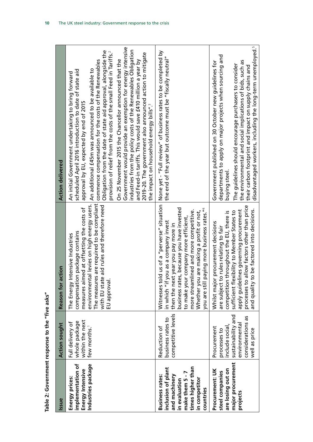| l                |
|------------------|
| ١                |
| I                |
|                  |
|                  |
|                  |
| i<br>י           |
| ֖֖֖֖֚֚֚֚֚֚֚֬     |
|                  |
| I                |
| ı<br>i           |
| ׇ֚֘              |
|                  |
|                  |
|                  |
|                  |
|                  |
| ı                |
|                  |
|                  |
| ;<br>;<br>;<br>ı |
|                  |
|                  |
|                  |
|                  |
|                  |
| $\frac{1}{2}$    |
|                  |
|                  |
|                  |
|                  |
|                  |
|                  |
| l                |
|                  |
| I                |
| í                |
|                  |
|                  |
|                  |
|                  |
|                  |
|                  |
|                  |

| Table 2: Government response to the "five asks"                                                                                                      |                                                                                                                           |                                                                                                                                                                                                                                                                                                                               |                                                                                                                                                                                                                                                                                                                                                                                                                                                                                                                                                                                                                                                                                                                                                                                                      |
|------------------------------------------------------------------------------------------------------------------------------------------------------|---------------------------------------------------------------------------------------------------------------------------|-------------------------------------------------------------------------------------------------------------------------------------------------------------------------------------------------------------------------------------------------------------------------------------------------------------------------------|------------------------------------------------------------------------------------------------------------------------------------------------------------------------------------------------------------------------------------------------------------------------------------------------------------------------------------------------------------------------------------------------------------------------------------------------------------------------------------------------------------------------------------------------------------------------------------------------------------------------------------------------------------------------------------------------------------------------------------------------------------------------------------------------------|
| Issue                                                                                                                                                | <b>Action sought</b>                                                                                                      | Reason for action                                                                                                                                                                                                                                                                                                             | <b>Action delivered</b>                                                                                                                                                                                                                                                                                                                                                                                                                                                                                                                                                                                                                                                                                                                                                                              |
| implementation of<br>Industries package<br>Energy Intensive<br>Energy prices:                                                                        | within the next<br>whole package<br>Full delivery of<br>few months.                                                       | The measures are required to be compliant<br>environmental levies on high energy users.<br>with EU state aid rules and therefore need<br>measures aimed at offsetting the costs of<br>compensation package contains<br>Intensive Industries<br>EU approval<br>The Energy                                                      | Government would provide an exemption for energy intensive<br>industries from the policy costs of the Renewables Obligation<br>Obligation from the date of state aid approval, alongside the<br>provision of relief from the costs of the small Feed in Tariffs. <sup>2</sup><br>2019-20. The government also announced action to mitigate<br>On 25 November 2015 the Chancellor announced that the<br>and Feed-in tariffs. This would save £410 million a year by<br>commence compensation for the costs of the Renewables<br>An additional £45m was announced to be available to<br>scheduled April 2016 introduction to date of state aid<br>An initial Government undertaking to bring forward<br>approval by EU, expected by end of 2015<br>the impact on household energy bills". <sup>3</sup> |
| make them 5 - 7<br>times higher than<br>inclusion of plant<br><b>Business rates:</b><br>and machinery<br>in competitor<br>in evaluation<br>countries | competitive levels<br>business rates to<br>Reduction of                                                                   | business rates, because you have invested<br>paying more business rates." <sup>4</sup><br>more streamlined and more competitive.<br>Whether you are making a profit or not,<br>to make your company more efficient,<br>in which "if you as a company invest<br>then the next year you pay more in<br>you are still            | Witnesses told us of a "perverse" situation   None yet - "Full review" of business rates to be completed by<br>the end of the year but outcome must be "fiscally neutral"                                                                                                                                                                                                                                                                                                                                                                                                                                                                                                                                                                                                                            |
| major procurement<br>are losing out on<br>Procurement: UK<br>steel companies<br>projects                                                             | sustainability and<br>considerations as<br>environmental<br>nclude social<br>Procurement<br>well as price<br>processes to | processes to allow factors other than price<br>to be factored into decisions.<br>apply guidelines governing procurement<br>sufficient flexibility to Member States to<br>throughout the EU, there is<br>r procurement decisions<br>to rules relating to fair<br>Whilst major<br>competition<br>and quality t<br>are subject t | disadvantaged workers, including the long-term unemployed. <sup>5</sup><br>departments to apply on major projects when sourcing and<br>the environmental and social implications of bids, such as<br>Government published on 30 October new guidelines for<br>The guidelines should encourage purchasers to consider<br>their carbon footprint and impact on supply chains and<br>buying steel.                                                                                                                                                                                                                                                                                                                                                                                                      |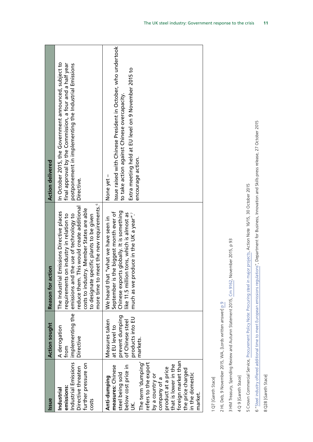| ssue                                                                                                                                                                                                                                                                                          | <b>Action sought</b>                                                                                   | Reason for action                                                                                                                                                                                                                                                                                                            | <b>Action delivered</b>                                                                                                                                                                                  |
|-----------------------------------------------------------------------------------------------------------------------------------------------------------------------------------------------------------------------------------------------------------------------------------------------|--------------------------------------------------------------------------------------------------------|------------------------------------------------------------------------------------------------------------------------------------------------------------------------------------------------------------------------------------------------------------------------------------------------------------------------------|----------------------------------------------------------------------------------------------------------------------------------------------------------------------------------------------------------|
| ndustrial Emissions<br>further pressure on<br>Directive threaten<br>emissions:<br>Industrial<br>costs                                                                                                                                                                                         | implementing the<br>A derogation<br>Directive<br>from                                                  | more time to meet the new requirements. <sup>6</sup><br>reduce them. This would create additional<br>costs to industry. Member States are able<br>The Industrial Emissions Directive places<br>requirements on industry in relation to<br>emissions and the use of technology to<br>to designate specific plants to be given | In October 2015, the Government announced, subject to<br>final approval by the Commission, a four and a half year<br>postponement in implementing the Industrial Emissions<br>Directive.                 |
| foreign market than<br>The term 'dumping'<br>efers to the export<br>that is lower in the<br>measures: Chinese<br>below cost price in<br>product at a price<br>the price charged<br>steel being sold<br>n the domestic<br>by a country or<br>Anti-dumping<br>company of a<br>market.<br>$\leq$ | prevent dumping<br>products into EU<br>Measures taken<br>of Chinese steel<br>at EU level to<br>markets | Chinese exports globally. It is something<br>is the biggest month ever of<br>like 11.5 million tons, which is almost as<br>produce in the UK a year".<br>hat "what we have seen in<br>much as we<br>We heard tl<br>September                                                                                                 | Issue raised with Chinese President in October, who undertook<br>Extra meeting held at EU level on 9 November 2015 to<br>to take action against Chinese overcapacity.<br>encourage action.<br>None yet - |

1 Q7 [Gareth Stace] 1 Q7 [Gareth Stace]

2 HL Deb, 9 November 2015, WA, [Lords written answer] p 9 2 HL Deb, 9 November 2015, WA, [Lords written answer] [p 9](http://qnadailyreport.blob.core.windows.net/qnadailyreportxml/Written-Questions-Answers-Statements-Daily-Report-Lords-2015-11-09.pdf)

3 HM Treasury, Spending Review and Autumn Statement 2015, Cm 9162, November 2015, p 93 3 HM Treasury, Spending Review and Autumn Statement 2015, [Cm 9162](https://www.gov.uk/government/uploads/system/uploads/attachment_data/file/479749/52229_Blue_Book_PU1865_Web_Accessible.pdf), November 2015, p 93

4 Q 9 [Gareth Stace] 4 Q 9 [Gareth Stace]

5 Crown Commercial Service, Procurement Policy Note: Procuring steel in major projects, Action Note 16/15, 30 October 2015 5 Crown Commercial Service, [Procurement Policy Note: Procuring steel in major projects](https://www.gov.uk/government/uploads/system/uploads/attachment_data/file/473545/PPN_16-15_Procuring_steel_in_major_projects.pdf), Action Note 16/15, 30 October 2015

6 "Steel industry offered additional time to meet European emissions regulations", Department for Business, Innovation and Skills press release, 27 October 2015 6 "[Steel industry offered additional time to meet European emissions regulations](https://www.gov.uk/government/news/steel-industry-offered-additional-time-to-meet-european-emissions-regulations)", Department for Business, Innovation and Skills press release, 27 October 2015

8 Q28 [Gareth Stace] 8 Q28 [Gareth Stace]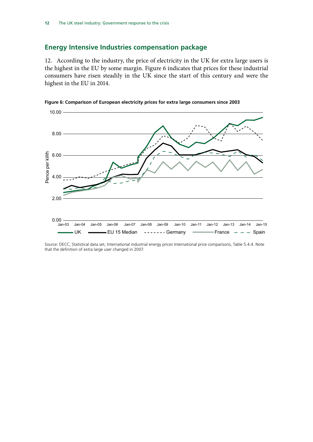### <span id="page-15-0"></span>**Energy Intensive Industries compensation package**

12. According to the industry, the price of electricity in the UK for extra large users is the highest in the EU by some margin. Figure 6 indicates that prices for these industrial consumers have risen steadily in the UK since the start of this century and were the highest in the EU in 2014.





Source: DECC, Statistical data set, International industrial energy prices International price comparisons, Table 5.4.4. Note that the definition of extra large user changed in 2007.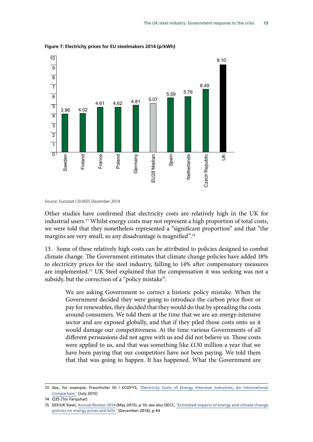

**Figure 7: Electricity prices for EU steelmakers 2014 (p/kWh)**

Other studies have confirmed that electricity costs are relatively high in the UK for industrial users.13 Whilst energy costs may not represent a high proportion of total costs, we were told that they nonetheless represented a "significant proportion" and that "the margins are very small, so any disadvantage is magnified".<sup>14</sup>

13. Some of these relatively high costs can be attributed to policies designed to combat climate change. The Government estimates that climate change policies have added 18% to electricity prices for the steel industry, falling to 14% after compensatory measures are implemented.<sup>15</sup> UK Steel explained that the compensation it was seeking was not a subsidy, but the correction of a "policy mistake":

We are asking Government to correct a historic policy mistake. When the Government decided they were going to introduce the carbon price floor or pay for renewables, they decided that they would do that by spreading the costs around consumers. We told them at the time that we are an energy-intensive sector and are exposed globally, and that if they piled those costs onto us it would damage our competitiveness. At the time various Governments of all different persuasions did not agree with us and did not believe us. Those costs were applied to us, and that was something like £130 million a year that we have been paying that our competitors have not been paying. We told them that that was going to happen. It has happened. What the Government are

Source: Eurostat / DUKES December 2014

<sup>13</sup> See, for example, Fraunhofer ISI / ECOFYS, ['Electricity Costs of Energy Intensive Industries, An International](http://www.ecofys.com/files/files/ecofys-fraunhoferisi-2015-electricity-costs-of-energy-intensive-industries.pdf) [Comparison,'](http://www.ecofys.com/files/files/ecofys-fraunhoferisi-2015-electricity-costs-of-energy-intensive-industries.pdf) (July 2015)

<sup>14</sup> Q35 [Tor Farquhar]

<sup>15</sup> EEF/UK Steel, [Annual Review 2014](http://www.eef.org.uk/uksteel/Publications/UK-Steel-Annual-Review-2014.htm) (May 2015), p 10; see also DECC, ['Estimated impacts of energy and climate change](https://www.gov.uk/government/uploads/system/uploads/attachment_data/file/384404/Prices__Bills_report_2014.pdf) [policies on energy prices and bills.'](https://www.gov.uk/government/uploads/system/uploads/attachment_data/file/384404/Prices__Bills_report_2014.pdf) (December 2014), p 44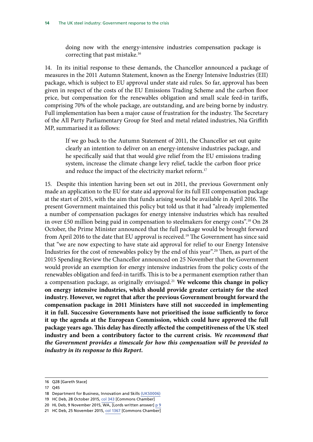doing now with the energy-intensive industries compensation package is correcting that past mistake.16

14. In its initial response to these demands, the Chancellor announced a package of measures in the 2011 Autumn Statement, known as the Energy Intensive Industries (EII) package, which is subject to EU approval under state aid rules. So far, approval has been given in respect of the costs of the EU Emissions Trading Scheme and the carbon floor price, but compensation for the renewables obligation and small scale feed-in tariffs, comprising 70% of the whole package, are outstanding, and are being borne by industry. Full implementation has been a major cause of frustration for the industry. The Secretary of the All Party Parliamentary Group for Steel and metal related industries, Nia Griffith MP, summarised it as follows:

If we go back to the Autumn Statement of 2011, the Chancellor set out quite clearly an intention to deliver on an energy-intensive industries package, and he specifically said that that would give relief from the EU emissions trading system, increase the climate change levy relief, tackle the carbon floor price and reduce the impact of the electricity market reform.<sup>17</sup>

15. Despite this intention having been set out in 2011, the previous Government only made an application to the EU for state aid approval for its full EII compensation package at the start of 2015, with the aim that funds arising would be available in April 2016. The present Government maintained this policy but told us that it had "already implemented a number of compensation packages for energy intensive industries which has resulted in over £50 million being paid in compensation to steelmakers for energy costs".<sup>18</sup> On 28 October, the Prime Minister announced that the full package would be brought forward from April 2016 to the date that EU approval is received.<sup>19</sup> The Government has since said that "we are now expecting to have state aid approval for relief to our Energy Intensive Industries for the cost of renewables policy by the end of this year".20 Then, as part of the 2015 Spending Review the Chancellor announced on 25 November that the Government would provide an exemption for energy intensive industries from the policy costs of the renewables obligation and feed-in tariffs. This is to be a permanent exemption rather than a compensation package, as originally envisaged.21 **We welcome this change in policy on energy intensive industries, which should provide greater certainty for the steel industry. However, we regret that after the previous Government brought forward the compensation package in 2011 Ministers have still not succeeded in implementing it in full. Successive Governments have not prioritised the issue sufficiently to force it up the agenda at the European Commission, which could have approved the full package years ago. This delay has directly affected the competitiveness of the UK steel industry and been a contributory factor to the current crisis.** *We recommend that the Government provides a timescale for how this compensation will be provided to industry in its response to this Report.*

<sup>16</sup> Q28 [Gareth Stace]

<sup>17</sup> Q45

<sup>18</sup> Department for Business, Innovation and Skills [\(UKS0006\)](http://data.parliament.uk/writtenevidence/committeeevidence.svc/evidencedocument/business-innovation-and-skills-committee/the-uk-steel-industry/written/260)

<sup>19</sup> HC Deb, 28 October 2015, col 343 [Commons Chamber]

<sup>20</sup> HL Deb, 9 November 2015, WA, [Lords written answer] [p 9](http://qnadailyreport.blob.core.windows.net/qnadailyreportxml/Written-Questions-Answers-Statements-Daily-Report-Lords-2015-11-09.pdf)

<sup>21</sup> HC Deb, 25 November 2015, col 1367 [Commons Chamber]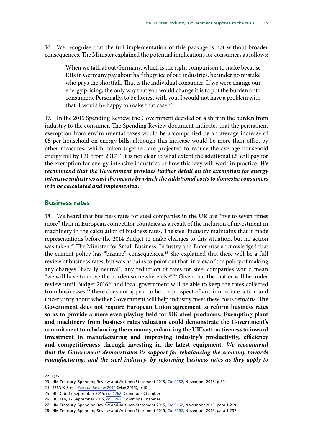<span id="page-18-0"></span>16. We recognise that the full implementation of this package is not without broader consequences. The Minister explained the potential implications for consumers as follows:

When we talk about Germany, which is the right comparison to make because EIIs in Germany pay about half the price of our industries, be under no mistake who pays the shortfall. That is the individual consumer. If we were change our energy pricing, the only way that you would change it is to put the burden onto consumers. Personally, to be honest with you, I would not have a problem with that. I would be happy to make that case. $22$ 

17. In the 2015 Spending Review, the Government decided on a shift in the burden from industry to the consumer. The Spending Review document indicates that the permanent exemption from environmental taxes would be accompanied by an average increase of £5 per household on energy bills, although this increase would be more than offset by other measures, which, taken together, are projected to reduce the average household energy bill by £30 from 2017.<sup>23</sup> It is not clear to what extent the additional £5 will pay for the exemption for energy intensive industries or how this levy will work in practice. *We recommend that the Government provides further detail on the exemption for energy intensive industries and the means by which the additional costs to domestic consumers is to be calculated and implemented.* 

### **Business rates**

18. We heard that business rates for steel companies in the UK are "five to seven times more" than in European competitor countries as a result of the inclusion of investment in machinery in the calculation of business rates. The steel industry maintains that it made representations before the 2014 Budget to make changes to this situation, but no action was taken.24 The Minister for Small Business, Industry and Enterprise acknowledged that the current policy has "bizarre" consequences.<sup>25</sup> She explained that there will be a full review of business rates, but was at pains to point out that, in view of the policy of making any changes "fiscally neutral", any reduction of rates for steel companies would mean "we will have to move the burden somewhere else".<sup>26</sup> Given that the matter will be under review until Budget 2016<sup>27</sup> and local government will be able to keep the rates collected from businesses,<sup>28</sup> there does not appear to be the prospect of any immediate action and uncertainty about whether Government will help industry meet these costs remains. **The Government does not require European Union agreement to reform business rates so as to provide a more even playing field for UK steel producers. Exempting plant and machinery from business rates valuation could demonstrate the Government's commitment to rebalancing the economy, enhancing the UK's attractiveness to inward investment in manufacturing and improving industry's productivity, efficiency and competitiveness through investing in the latest equipment.** *We recommend that the Government demonstrates its support for rebalancing the economy towards manufacturing, and the steel industry, by reforming business rates as they apply to* 

<sup>22</sup> Q77

<sup>23</sup> HM Treasury, Spending Review and Autumn Statement 2015, [Cm 9162,](https://www.gov.uk/government/uploads/system/uploads/attachment_data/file/479749/52229_Blue_Book_PU1865_Web_Accessible.pdf) November 2015, p 39

<sup>24</sup> EEF/UK Steel, [Annual Review 2014](http://www.eef.org.uk/uksteel/Publications/UK-Steel-Annual-Review-2014.htm) (May 2015), p 10

<sup>25</sup> HC Deb, 17 September 2015, col 1262 [Commons Chamber]

<sup>26</sup> HC Deb, 17 September 2015, col 1262 [Commons Chamber]

<sup>27</sup> HM Treasury, Spending Review and Autumn Statement 2015, [Cm 9162,](https://www.gov.uk/government/uploads/system/uploads/attachment_data/file/479749/52229_Blue_Book_PU1865_Web_Accessible.pdf) November 2015, para 1.219

<sup>28</sup> HM Treasury, Spending Review and Autumn Statement 2015, [Cm 9162,](https://www.gov.uk/government/uploads/system/uploads/attachment_data/file/479749/52229_Blue_Book_PU1865_Web_Accessible.pdf) November 2015, para 1.237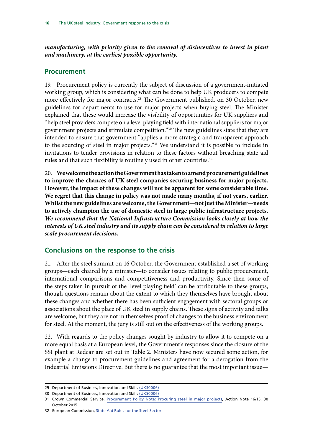<span id="page-19-0"></span>*manufacturing, with priority given to the removal of disincentives to invest in plant and machinery, at the earliest possible opportunity.*

### **Procurement**

19. Procurement policy is currently the subject of discussion of a government-initiated working group, which is considering what can be done to help UK producers to compete more effectively for major contracts.29 The Government published, on 30 October, new guidelines for departments to use for major projects when buying steel. The Minister explained that these would increase the visibility of opportunities for UK suppliers and "help steel providers compete on a level playing field with international suppliers for major government projects and stimulate competition."30 The new guidelines state that they are intended to ensure that government "applies a more strategic and transparent approach to the sourcing of steel in major projects."<sup>31</sup> We understand it is possible to include in invitations to tender provisions in relation to these factors without breaching state aid rules and that such flexibility is routinely used in other countries.<sup>32</sup>

20. **We welcome the action the Government has taken to amend procurement guidelines to improve the chances of UK steel companies securing business for major projects. However, the impact of these changes will not be apparent for some considerable time. We regret that this change in policy was not made many months, if not years, earlier. Whilst the new guidelines are welcome, the Government—not just the Minister—needs to actively champion the use of domestic steel in large public infrastructure projects.**  *We recommend that the National Infrastructure Commission looks closely at how the interests of UK steel industry and its supply chain can be considered in relation to large scale procurement decisions.*

### **Conclusions on the response to the crisis**

21. After the steel summit on 16 October, the Government established a set of working groups—each chaired by a minister—to consider issues relating to public procurement, international comparisons and competitiveness and productivity. Since then some of the steps taken in pursuit of the 'level playing field' can be attributable to these groups, though questions remain about the extent to which they themselves have brought about these changes and whether there has been sufficient engagement with sectoral groups or associations about the place of UK steel in supply chains. These signs of activity and talks are welcome, but they are not in themselves proof of changes to the business environment for steel. At the moment, the jury is still out on the effectiveness of the working groups.

22. With regards to the policy changes sought by industry to allow it to compete on a more equal basis at a European level, the Government's responses since the closure of the SSI plant at Redcar are set out in Table 2. Ministers have now secured some action, for example a change to procurement guidelines and agreement for a derogation from the Industrial Emissions Directive. But there is no guarantee that the most important issue—

<sup>29</sup> Department of Business, Innovation and Skills [\(UKS0006\)](http://data.parliament.uk/writtenevidence/committeeevidence.svc/evidencedocument/business-innovation-and-skills-committee/the-uk-steel-industry/written/260)

<sup>30</sup> Department of Business, Innovation and Skills [\(UKS0006\)](http://data.parliament.uk/writtenevidence/committeeevidence.svc/evidencedocument/business-innovation-and-skills-committee/the-uk-steel-industry/written/260)

<sup>31</sup> Crown Commercial Service, [Procurement Policy Note: Procuring steel in major projects,](https://www.gov.uk/government/uploads/system/uploads/attachment_data/file/473545/PPN_16-15_Procuring_steel_in_major_projects.pdf) Action Note 16/15, 30 October 2015

<sup>32</sup> European Commission, [State Aid Rules for the Steel Sector](http://www.oecd.org/sti/ind/Item%203c_3-%20EU_OECD-Steel.pdf)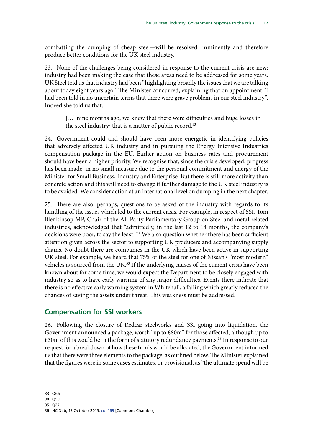<span id="page-20-0"></span>combatting the dumping of cheap steel—will be resolved imminently and therefore produce better conditions for the UK steel industry.

23. None of the challenges being considered in response to the current crisis are new: industry had been making the case that these areas need to be addressed for some years. UK Steel told us that industry had been "highlighting broadly the issues that we are talking about today eight years ago". The Minister concurred, explaining that on appointment "I had been told in no uncertain terms that there were grave problems in our steel industry". Indeed she told us that:

[...] nine months ago, we knew that there were difficulties and huge losses in the steel industry; that is a matter of public record.<sup>33</sup>

24. Government could and should have been more energetic in identifying policies that adversely affected UK industry and in pursuing the Energy Intensive Industries compensation package in the EU. Earlier action on business rates and procurement should have been a higher priority. We recognise that, since the crisis developed, progress has been made, in no small measure due to the personal commitment and energy of the Minister for Small Business, Industry and Enterprise. But there is still more activity than concrete action and this will need to change if further damage to the UK steel industry is to be avoided. We consider action at an international level on dumping in the next chapter.

25. There are also, perhaps, questions to be asked of the industry with regards to its handling of the issues which led to the current crisis. For example, in respect of SSI, Tom Blenkinsop MP, Chair of the All Party Parliamentary Group on Steel and metal related industries, acknowledged that "admittedly, in the last 12 to 18 months, the company's decisions were poor, to say the least."34 We also question whether there has been sufficient attention given across the sector to supporting UK producers and accompanying supply chains. No doubt there are companies in the UK which have been active in supporting UK steel. For example, we heard that 75% of the steel for one of Nissan's "most modern" vehicles is sourced from the UK.<sup>35</sup> If the underlying causes of the current crisis have been known about for some time, we would expect the Department to be closely engaged with industry so as to have early warning of any major difficulties. Events there indicate that there is no effective early warning system in Whitehall, a failing which greatly reduced the chances of saving the assets under threat. This weakness must be addressed.

### **Compensation for SSI workers**

26. Following the closure of Redcar steelworks and SSI going into liquidation, the Government announced a package, worth "up to £80m" for those affected, although up to  $£30m$  of this would be in the form of statutory redundancy payments.<sup>36</sup> In response to our request for a breakdown of how these funds would be allocated, the Government informed us that there were three elements to the package, as outlined below. The Minister explained that the figures were in some cases estimates, or provisional, as "the ultimate spend will be

35 Q27

<sup>33</sup> Q66

<sup>34</sup> Q53

<sup>36</sup> HC Deb, 13 October 2015, col 169 [Commons Chamber]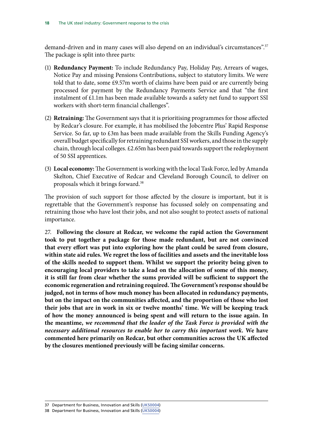demand-driven and in many cases will also depend on an individual's circumstances".<sup>37</sup> The package is split into three parts:

- (1) **Redundancy Payment:** To include Redundancy Pay, Holiday Pay, Arrears of wages, Notice Pay and missing Pensions Contributions, subject to statutory limits. We were told that to date, some £9.57m worth of claims have been paid or are currently being processed for payment by the Redundancy Payments Service and that "the first instalment of £1.1m has been made available towards a safety net fund to support SSI workers with short-term financial challenges".
- (2) **Retraining:** The Government says that it is prioritising programmes for those affected by Redcar's closure. For example, it has mobilised the Jobcentre Plus' Rapid Response Service. So far, up to £3m has been made available from the Skills Funding Agency's overall budget specifically for retraining redundant SSI workers, and those in the supply chain, through local colleges. £2.65m has been paid towards support the redeployment of 50 SSI apprentices.
- (3) **Local economy:** The Government is working with the local Task Force, led by Amanda Skelton, Chief Executive of Redcar and Cleveland Borough Council, to deliver on proposals which it brings forward.38

The provision of such support for those affected by the closure is important, but it is regrettable that the Government's response has focussed solely on compensating and retraining those who have lost their jobs, and not also sought to protect assets of national importance.

27. **Following the closure at Redcar, we welcome the rapid action the Government took to put together a package for those made redundant, but are not convinced that every effort was put into exploring how the plant could be saved from closure, within state aid rules. We regret the loss of facilities and assets and the inevitable loss of the skills needed to support them. Whilst we support the priority being given to encouraging local providers to take a lead on the allocation of some of this money, it is still far from clear whether the sums provided will be sufficient to support the economic regeneration and retraining required. The Government's response should be judged, not in terms of how much money has been allocated in redundancy payments, but on the impact on the communities affected, and the proportion of those who lost their jobs that are in work in six or twelve months' time. We will be keeping track of how the money announced is being spent and will return to the issue again. In the meantime,** *we recommend that the leader of the Task Force is provided with the necessary additional resources to enable her to carry this important work.* **We have commented here primarily on Redcar, but other communities across the UK affected by the closures mentioned previously will be facing similar concerns.**

38 Department for Business, Innovation and Skills [\(UKS0004\)](http://data.parliament.uk/writtenevidence/committeeevidence.svc/evidencedocument/business-innovation-and-skills-committee/the-uk-steel-industry/written/24330.html)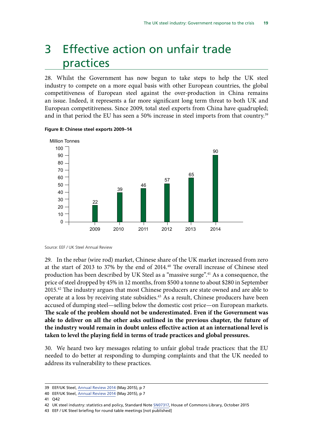## <span id="page-22-0"></span>3 Effective action on unfair trade practices

28. Whilst the Government has now begun to take steps to help the UK steel industry to compete on a more equal basis with other European countries, the global competitiveness of European steel against the over-production in China remains an issue. Indeed, it represents a far more significant long term threat to both UK and European competitiveness. Since 2009, total steel exports from China have quadrupled; and in that period the EU has seen a 50% increase in steel imports from that country.<sup>39</sup>



#### **Figure 8: Chinese steel exports 2009–14**

Source: EEF / UK Steel Annual Review

29. In the rebar (wire rod) market, Chinese share of the UK market increased from zero at the start of 2013 to 37% by the end of 2014.40 The overall increase of Chinese steel production has been described by UK Steel as a "massive surge".41 As a consequence, the price of steel dropped by 45% in 12 months, from \$500 a tonne to about \$280 in September 2015.42 The industry argues that most Chinese producers are state owned and are able to operate at a loss by receiving state subsidies.<sup>43</sup> As a result, Chinese producers have been accused of dumping steel—selling below the domestic cost price—on European markets. **The scale of the problem should not be underestimated. Even if the Government was able to deliver on all the other asks outlined in the previous chapter, the future of the industry would remain in doubt unless effective action at an international level is taken to level the playing field in terms of trade practices and global pressures.**

30. We heard two key messages relating to unfair global trade practices: that the EU needed to do better at responding to dumping complaints and that the UK needed to address its vulnerability to these practices.

41 Q42

<sup>39</sup> EEF/UK Steel, [Annual Review 2014](http://www.eef.org.uk/uksteel/Publications/UK-Steel-Annual-Review-2014.htm) (May 2015), p 7

<sup>40</sup> EEF/UK Steel, [Annual Review 2014](http://www.eef.org.uk/uksteel/Publications/UK-Steel-Annual-Review-2014.htm) (May 2015), p 7

<sup>42</sup> UK steel industry: statistics and policy, Standard Note [SN07317](http://researchbriefings.files.parliament.uk/documents/CBP-7317/CBP-7317.pdf), House of Commons Library, October 2015

<sup>43</sup> EEF / UK Steel briefing for round table meetings [not published]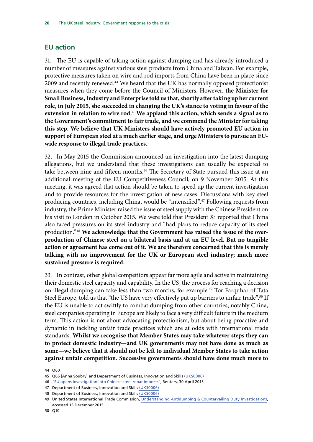### <span id="page-23-0"></span>**EU action**

31. The EU is capable of taking action against dumping and has already introduced a number of measures against various steel products from China and Taiwan. For example, protective measures taken on wire and rod imports from China have been in place since 2009 and recently renewed.44 We heard that the UK has normally opposed protectionist measures when they come before the Council of Ministers. However, **the Minister for Small Business, Industry and Enterprise told us that, shortly after taking up her current role, in July 2015, she succeeded in changing the UK's stance to voting in favour of the extension in relation to wire rod.**<sup>45</sup>**We applaud this action, which sends a signal as to the Government's commitment to fair trade, and we commend the Minister for taking this step. We believe that UK Ministers should have actively promoted EU action in support of European steel at a much earlier stage, and urge Ministers to pursue an EUwide response to illegal trade practices.**

32. In May 2015 the Commission announced an investigation into the latest dumping allegations, but we understand that these investigations can usually be expected to take between nine and fifteen months.<sup>46</sup> The Secretary of State pursued this issue at an additional meeting of the EU Competitiveness Council, on 9 November 2015. At this meeting, it was agreed that action should be taken to speed up the current investigation and to provide resources for the investigation of new cases. Discussions with key steel producing countries, including China, would be "intensified".47 Following requests from industry, the Prime Minister raised the issue of steel supply with the Chinese President on his visit to London in October 2015. We were told that President Xi reported that China also faced pressures on its steel industry and "had plans to reduce capacity of its steel production."48 **We acknowledge that the Government has raised the issue of the overproduction of Chinese steel on a bilateral basis and at an EU level. But no tangible action or agreement has come out of it. We are therefore concerned that this is merely talking with no improvement for the UK or European steel industry; much more sustained pressure is required.** 

33. In contrast, other global competitors appear far more agile and active in maintaining their domestic steel capacity and capability. In the US, the process for reaching a decision on illegal dumping can take less than two months, for example.<sup>49</sup> Tor Farquhar of Tata Steel Europe, told us that "the US have very effectively put up barriers to unfair trade".<sup>50</sup> If the EU is unable to act swiftly to combat dumping from other countries, notably China, steel companies operating in Europe are likely to face a very difficult future in the medium term. This action is not about advocating protectionism, but about being proactive and dynamic in tackling unfair trade practices which are at odds with international trade standards. **Whilst we recognise that Member States may take whatever steps they can to protect domestic industry—and UK governments may not have done as much as some—we believe that it should not be left to individual Member States to take action against unfair competition. Successive governments should have done much more to** 

<sup>44</sup> Q60

<sup>45</sup> Q66 [Anna Soubry] and Department of Business, Innovation and Skills [\(UKS0006\)](http://data.parliament.uk/writtenevidence/committeeevidence.svc/evidencedocument/business-innovation-and-skills-committee/the-uk-steel-industry/written/260)

<sup>46</sup> ["EU opens investigation into Chinese steel rebar imports",](http://uk.reuters.com/article/uk-eu-china-trade-steel-idUKKBN0NL0U020150430) Reuters, 30 April 2015

<sup>47</sup> Department of Business, Innovation and Skills [\(UKS0006\)](http://data.parliament.uk/writtenevidence/committeeevidence.svc/evidencedocument/business-innovation-and-skills-committee/the-uk-steel-industry/written/260)

<sup>48</sup> Department of Business, Innovation and Skills [\(UKS0006\)](http://data.parliament.uk/writtenevidence/committeeevidence.svc/evidencedocument/business-innovation-and-skills-committee/the-uk-steel-industry/written/260)

<sup>49</sup> United States International Trade Commission, [Understanding Antidumping & Countervailing Duty Investigations](http://www.usitc.gov/press_room/usad.htm), accessed 15 December 2015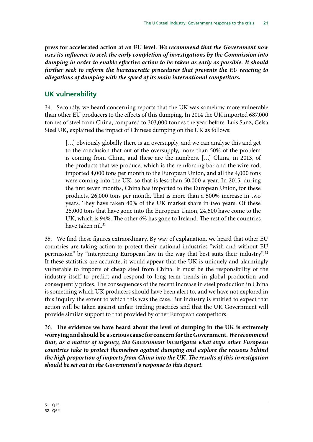<span id="page-24-0"></span>**press for accelerated action at an EU level.** *We recommend that the Government now uses its influence to seek the early completion of investigations by the Commission into dumping in order to enable effective action to be taken as early as possible. It should further seek to reform the bureaucratic procedures that prevents the EU reacting to allegations of dumping with the speed of its main international competitors.*

### **UK vulnerability**

34. Secondly, we heard concerning reports that the UK was somehow more vulnerable than other EU producers to the effects of this dumping. In 2014 the UK imported 687,000 tonnes of steel from China, compared to 303,000 tonnes the year before. Luis Sanz, Celsa Steel UK, explained the impact of Chinese dumping on the UK as follows:

[...] obviously globally there is an oversupply, and we can analyse this and get to the conclusion that out of the oversupply, more than 50% of the problem is coming from China, and these are the numbers. […] China, in 2013, of the products that we produce, which is the reinforcing bar and the wire rod, imported 4,000 tons per month to the European Union, and all the 4,000 tons were coming into the UK, so that is less than 50,000 a year. In 2015, during the first seven months, China has imported to the European Union, for these products, 26,000 tons per month. That is more than a 500% increase in two years. They have taken 40% of the UK market share in two years. Of these 26,000 tons that have gone into the European Union, 24,500 have come to the UK, which is 94%. The other 6% has gone to Ireland. The rest of the countries have taken nil.<sup>51</sup>

35. We find these figures extraordinary. By way of explanation, we heard that other EU countries are taking action to protect their national industries "with and without EU permission" by "interpreting European law in the way that best suits their industry".52 If these statistics are accurate, it would appear that the UK is uniquely and alarmingly vulnerable to imports of cheap steel from China. It must be the responsibility of the industry itself to predict and respond to long term trends in global production and consequently prices. The consequences of the recent increase in steel production in China is something which UK producers should have been alert to, and we have not explored in this inquiry the extent to which this was the case. But industry is entitled to expect that action will be taken against unfair trading practices and that the UK Government will provide similar support to that provided by other European competitors.

36. **The evidence we have heard about the level of dumping in the UK is extremely worrying and should be a serious cause for concern for the Government.** *We recommend that, as a matter of urgency, the Government investigates what steps other European countries take to protect themselves against dumping and explore the reasons behind the high proportion of imports from China into the UK. The results of this investigation should be set out in the Government's response to this Report.*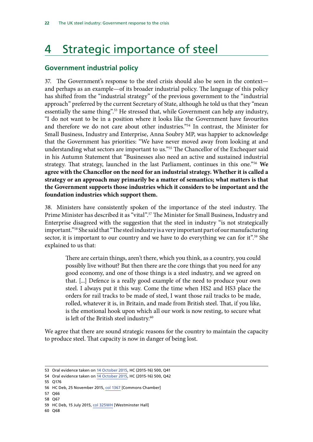## <span id="page-25-0"></span>4 Strategic importance of steel

### **Government industrial policy**

37. The Government's response to the steel crisis should also be seen in the context and perhaps as an example—of its broader industrial policy. The language of this policy has shifted from the "industrial strategy" of the previous government to the "industrial approach" preferred by the current Secretary of State, although he told us that they "mean essentially the same thing".<sup>53</sup> He stressed that, while Government can help any industry, "I do not want to be in a position where it looks like the Government have favourites and therefore we do not care about other industries."54 In contrast, the Minister for Small Business, Industry and Enterprise, Anna Soubry MP, was happier to acknowledge that the Government has priorities: "We have never moved away from looking at and understanding what sectors are important to us."55 The Chancellor of the Exchequer said in his Autumn Statement that "Businesses also need an active and sustained industrial strategy. That strategy, launched in the last Parliament, continues in this one."56 **We agree with the Chancellor on the need for an industrial strategy. Whether it is called a strategy or an approach may primarily be a matter of semantics; what matters is that the Government supports those industries which it considers to be important and the foundation industries which support them.**

38. Ministers have consistently spoken of the importance of the steel industry. The Prime Minister has described it as "vital".<sup>57</sup> The Minister for Small Business, Industry and Enterprise disagreed with the suggestion that the steel in industry "is not strategically important."<sup>58</sup> She said that "The steel industry is a very important part of our manufacturing sector, it is important to our country and we have to do everything we can for it".<sup>59</sup> She explained to us that:

There are certain things, aren't there, which you think, as a country, you could possibly live without? But then there are the core things that you need for any good economy, and one of those things is a steel industry, and we agreed on that. [...] Defence is a really good example of the need to produce your own steel. I always put it this way. Come the time when HS2 and HS3 place the orders for rail tracks to be made of steel, I want those rail tracks to be made, rolled, whatever it is, in Britain, and made from British steel. That, if you like, is the emotional hook upon which all our work is now resting, to secure what is left of the British steel industry.<sup>60</sup>

We agree that there are sound strategic reasons for the country to maintain the capacity to produce steel. That capacity is now in danger of being lost.

- 57 Q66
- 58 Q67

60 Q68

<sup>53</sup> Oral evidence taken on [14 October 2015](http://data.parliament.uk/writtenevidence/committeeevidence.svc/evidencedocument/business-innovation-and-skills-committee/work-of-the-department-for-business-innovation-and-skills/oral/23106.pdf), HC (2015-16) 500, Q41

<sup>54</sup> Oral evidence taken on [14 October 2015](http://data.parliament.uk/writtenevidence/committeeevidence.svc/evidencedocument/business-innovation-and-skills-committee/work-of-the-department-for-business-innovation-and-skills/oral/23106.pdf), HC (2015-16) 500, Q42

<sup>55</sup> Q176

<sup>56</sup> HC Deb, 25 November 2015, col 1367 [Commons Chamber]

<sup>59</sup> HC Deb, 15 July 2015, col 325WH [Westminster Hall]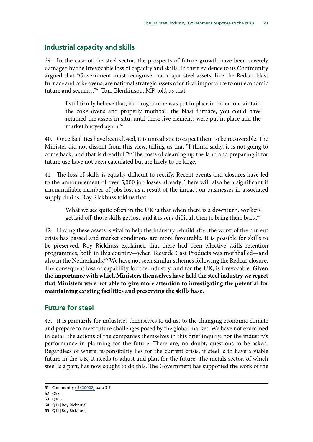### <span id="page-26-0"></span>**Industrial capacity and skills**

39. In the case of the steel sector, the prospects of future growth have been severely damaged by the irrevocable loss of capacity and skills. In their evidence to us Community argued that "Government must recognise that major steel assets, like the Redcar blast furnace and coke ovens, are national strategic assets of critical importance to our economic future and security."61 Tom Blenkinsop, MP, told us that

I still firmly believe that, if a programme was put in place in order to maintain the coke ovens and properly mothball the blast furnace, you could have retained the assets in situ, until these five elements were put in place and the market buoyed again.<sup>62</sup>

40. Once facilities have been closed, it is unrealistic to expect them to be recoverable. The Minister did not dissent from this view, telling us that "I think, sadly, it is not going to come back, and that is dreadful."63 The costs of cleaning up the land and preparing it for future use have not been calculated but are likely to be large.

41. The loss of skills is equally difficult to rectify. Recent events and closures have led to the announcement of over 5,000 job losses already. There will also be a significant if unquantifiable number of jobs lost as a result of the impact on businesses in associated supply chains. Roy Rickhuss told us that

What we see quite often in the UK is that when there is a downturn, workers get laid off, those skills get lost, and it is very difficult then to bring them back.<sup>64</sup>

42. Having these assets is vital to help the industry rebuild after the worst of the current crisis has passed and market conditions are more favourable. It is possible for skills to be preserved. Roy Rickhuss explained that there had been effective skills retention programmes, both in this country—when Teesside Cast Products was mothballed—and also in the Netherlands.<sup>65</sup> We have not seen similar schemes following the Redcar closure. The consequent loss of capability for the industry, and for the UK, is irrevocable. **Given the importance with which Ministers themselves have held the steel industry we regret that Ministers were not able to give more attention to investigating the potential for maintaining existing facilities and preserving the skills base.**

### **Future for steel**

43. It is primarily for industries themselves to adjust to the changing economic climate and prepare to meet future challenges posed by the global market. We have not examined in detail the actions of the companies themselves in this brief inquiry, nor the industry's performance in planning for the future. There are, no doubt, questions to be asked. Regardless of where responsibility lies for the current crisis, if steel is to have a viable future in the UK, it needs to adjust and plan for the future. The metals sector, of which steel is a part, has now sought to do this. The Government has supported the work of the

<sup>61</sup> Community [\(UKS0002\)](http://data.parliament.uk/writtenevidence/committeeevidence.svc/evidencedocument/business-innovation-and-skills-committee/the-uk-steel-industry/written/23594.html) para 3.7

<sup>62</sup> Q53

<sup>63</sup> Q105

<sup>64</sup> Q11 [Roy Rickhuss]

<sup>65</sup> Q11 [Roy Rickhuss]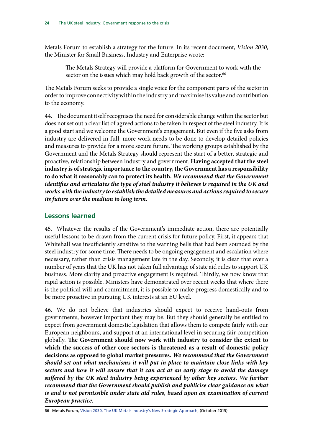<span id="page-27-0"></span>Metals Forum to establish a strategy for the future. In its recent document, *Vision 2030*, the Minister for Small Business, Industry and Enterprise wrote:

The Metals Strategy will provide a platform for Government to work with the sector on the issues which may hold back growth of the sector.<sup>66</sup>

The Metals Forum seeks to provide a single voice for the component parts of the sector in order to improve connectivity within the industry and maximise its value and contribution to the economy.

44. The document itself recognises the need for considerable change within the sector but does not set out a clear list of agreed actions to be taken in respect of the steel industry. It is a good start and we welcome the Government's engagement. But even if the five asks from industry are delivered in full, more work needs to be done to develop detailed policies and measures to provide for a more secure future. The working groups established by the Government and the Metals Strategy should represent the start of a better, strategic and proactive, relationship between industry and government. **Having accepted that the steel industry is of strategic importance to the country, the Government has a responsibility to do what it reasonably can to protect its health.** *We recommend that the Government identifies and articulates the type of steel industry it believes is required in the UK and works with the industry to establish the detailed measures and actions required to secure its future over the medium to long term.*

### **Lessons learned**

45. Whatever the results of the Government's immediate action, there are potentially useful lessons to be drawn from the current crisis for future policy. First, it appears that Whitehall was insufficiently sensitive to the warning bells that had been sounded by the steel industry for some time. There needs to be ongoing engagement and escalation where necessary, rather than crisis management late in the day. Secondly, it is clear that over a number of years that the UK has not taken full advantage of state aid rules to support UK business. More clarity and proactive engagement is required. Thirdly, we now know that rapid action is possible. Ministers have demonstrated over recent weeks that where there is the political will and commitment, it is possible to make progress domestically and to be more proactive in pursuing UK interests at an EU level.

46. We do not believe that industries should expect to receive hand-outs from governments, however important they may be. But they should generally be entitled to expect from government domestic legislation that allows them to compete fairly with our European neighbours, and support at an international level in securing fair competition globally. **The Government should now work with industry to consider the extent to which the success of other core sectors is threatened as a result of domestic policy decisions as opposed to global market pressures.** *We recommend that the Government should set out what mechanisms it will put in place to maintain close links with key sectors and how it will ensure that it can act at an early stage to avoid the damage suffered by the UK steel industry being experienced by other key sectors. We further recommend that the Government should publish and publicise clear guidance on what is and is not permissible under state aid rules, based upon an examination of current European practice.*

<sup>66</sup> Metals Forum, [Vision 2030, The UK Metals Industry's New Strategic Approach,](http://www.alfed.org.uk/files/Press%20Articles/MIS%20printed%20report%202015.pdf) (October 2015)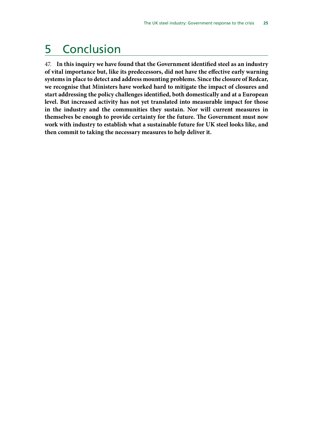## <span id="page-28-0"></span>5 Conclusion

47. **In this inquiry we have found that the Government identified steel as an industry of vital importance but, like its predecessors, did not have the effective early warning systems in place to detect and address mounting problems. Since the closure of Redcar, we recognise that Ministers have worked hard to mitigate the impact of closures and start addressing the policy challenges identified, both domestically and at a European level. But increased activity has not yet translated into measurable impact for those in the industry and the communities they sustain. Nor will current measures in themselves be enough to provide certainty for the future. The Government must now work with industry to establish what a sustainable future for UK steel looks like, and then commit to taking the necessary measures to help deliver it.**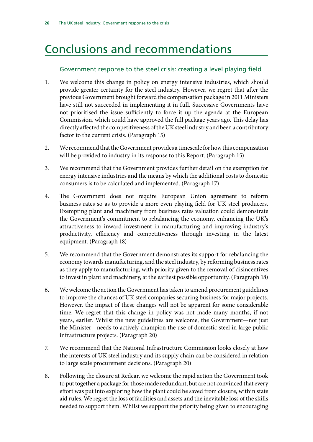## <span id="page-29-0"></span>Conclusions and recommendations

### Government response to the steel crisis: creating a level playing field

- 1. We welcome this change in policy on energy intensive industries, which should provide greater certainty for the steel industry. However, we regret that after the previous Government brought forward the compensation package in 2011 Ministers have still not succeeded in implementing it in full. Successive Governments have not prioritised the issue sufficiently to force it up the agenda at the European Commission, which could have approved the full package years ago. This delay has directly affected the competitiveness of the UK steel industry and been a contributory factor to the current crisis. (Paragraph 15)
- 2. We recommend that the Government provides a timescale for how this compensation will be provided to industry in its response to this Report. (Paragraph 15)
- 3. We recommend that the Government provides further detail on the exemption for energy intensive industries and the means by which the additional costs to domestic consumers is to be calculated and implemented. (Paragraph 17)
- 4. The Government does not require European Union agreement to reform business rates so as to provide a more even playing field for UK steel producers. Exempting plant and machinery from business rates valuation could demonstrate the Government's commitment to rebalancing the economy, enhancing the UK's attractiveness to inward investment in manufacturing and improving industry's productivity, efficiency and competitiveness through investing in the latest equipment. (Paragraph 18)
- 5. We recommend that the Government demonstrates its support for rebalancing the economy towards manufacturing, and the steel industry, by reforming business rates as they apply to manufacturing, with priority given to the removal of disincentives to invest in plant and machinery, at the earliest possible opportunity. (Paragraph 18)
- 6. We welcome the action the Government has taken to amend procurement guidelines to improve the chances of UK steel companies securing business for major projects. However, the impact of these changes will not be apparent for some considerable time. We regret that this change in policy was not made many months, if not years, earlier. Whilst the new guidelines are welcome, the Government—not just the Minister—needs to actively champion the use of domestic steel in large public infrastructure projects. (Paragraph 20)
- 7. We recommend that the National Infrastructure Commission looks closely at how the interests of UK steel industry and its supply chain can be considered in relation to large scale procurement decisions. (Paragraph 20)
- 8. Following the closure at Redcar, we welcome the rapid action the Government took to put together a package for those made redundant, but are not convinced that every effort was put into exploring how the plant could be saved from closure, within state aid rules. We regret the loss of facilities and assets and the inevitable loss of the skills needed to support them. Whilst we support the priority being given to encouraging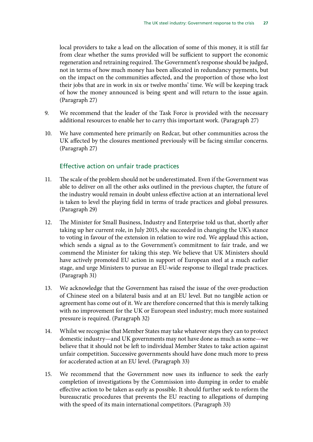local providers to take a lead on the allocation of some of this money, it is still far from clear whether the sums provided will be sufficient to support the economic regeneration and retraining required. The Government's response should be judged, not in terms of how much money has been allocated in redundancy payments, but on the impact on the communities affected, and the proportion of those who lost their jobs that are in work in six or twelve months' time. We will be keeping track of how the money announced is being spent and will return to the issue again. (Paragraph 27)

- 9. We recommend that the leader of the Task Force is provided with the necessary additional resources to enable her to carry this important work. (Paragraph 27)
- 10. We have commented here primarily on Redcar, but other communities across the UK affected by the closures mentioned previously will be facing similar concerns. (Paragraph 27)

### Effective action on unfair trade practices

- 11. The scale of the problem should not be underestimated. Even if the Government was able to deliver on all the other asks outlined in the previous chapter, the future of the industry would remain in doubt unless effective action at an international level is taken to level the playing field in terms of trade practices and global pressures. (Paragraph 29)
- 12. The Minister for Small Business, Industry and Enterprise told us that, shortly after taking up her current role, in July 2015, she succeeded in changing the UK's stance to voting in favour of the extension in relation to wire rod. We applaud this action, which sends a signal as to the Government's commitment to fair trade, and we commend the Minister for taking this step. We believe that UK Ministers should have actively promoted EU action in support of European steel at a much earlier stage, and urge Ministers to pursue an EU-wide response to illegal trade practices. (Paragraph 31)
- 13. We acknowledge that the Government has raised the issue of the over-production of Chinese steel on a bilateral basis and at an EU level. But no tangible action or agreement has come out of it. We are therefore concerned that this is merely talking with no improvement for the UK or European steel industry; much more sustained pressure is required. (Paragraph 32)
- 14. Whilst we recognise that Member States may take whatever steps they can to protect domestic industry—and UK governments may not have done as much as some—we believe that it should not be left to individual Member States to take action against unfair competition. Successive governments should have done much more to press for accelerated action at an EU level. (Paragraph 33)
- 15. We recommend that the Government now uses its influence to seek the early completion of investigations by the Commission into dumping in order to enable effective action to be taken as early as possible. It should further seek to reform the bureaucratic procedures that prevents the EU reacting to allegations of dumping with the speed of its main international competitors. (Paragraph 33)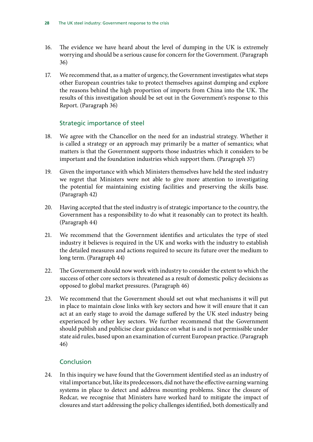- 16. The evidence we have heard about the level of dumping in the UK is extremely worrying and should be a serious cause for concern for the Government. (Paragraph 36)
- 17. We recommend that, as a matter of urgency, the Government investigates what steps other European countries take to protect themselves against dumping and explore the reasons behind the high proportion of imports from China into the UK. The results of this investigation should be set out in the Government's response to this Report. (Paragraph 36)

### Strategic importance of steel

- 18. We agree with the Chancellor on the need for an industrial strategy. Whether it is called a strategy or an approach may primarily be a matter of semantics; what matters is that the Government supports those industries which it considers to be important and the foundation industries which support them. (Paragraph 37)
- 19. Given the importance with which Ministers themselves have held the steel industry we regret that Ministers were not able to give more attention to investigating the potential for maintaining existing facilities and preserving the skills base. (Paragraph 42)
- 20. Having accepted that the steel industry is of strategic importance to the country, the Government has a responsibility to do what it reasonably can to protect its health. (Paragraph 44)
- 21. We recommend that the Government identifies and articulates the type of steel industry it believes is required in the UK and works with the industry to establish the detailed measures and actions required to secure its future over the medium to long term. (Paragraph 44)
- 22. The Government should now work with industry to consider the extent to which the success of other core sectors is threatened as a result of domestic policy decisions as opposed to global market pressures. (Paragraph 46)
- 23. We recommend that the Government should set out what mechanisms it will put in place to maintain close links with key sectors and how it will ensure that it can act at an early stage to avoid the damage suffered by the UK steel industry being experienced by other key sectors. We further recommend that the Government should publish and publicise clear guidance on what is and is not permissible under state aid rules, based upon an examination of current European practice. (Paragraph 46)

### Conclusion

24. In this inquiry we have found that the Government identified steel as an industry of vital importance but, like its predecessors, did not have the effective earning warning systems in place to detect and address mounting problems. Since the closure of Redcar, we recognise that Ministers have worked hard to mitigate the impact of closures and start addressing the policy challenges identified, both domestically and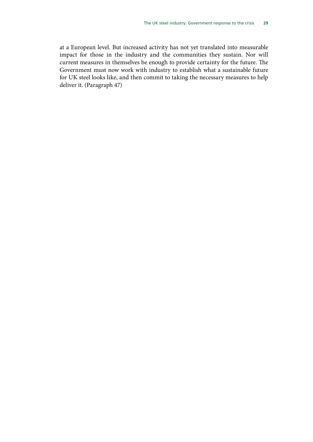at a European level. But increased activity has not yet translated into measurable impact for those in the industry and the communities they sustain. Nor will current measures in themselves be enough to provide certainty for the future. The Government must now work with industry to establish what a sustainable future for UK steel looks like, and then commit to taking the necessary measures to help deliver it. (Paragraph 47)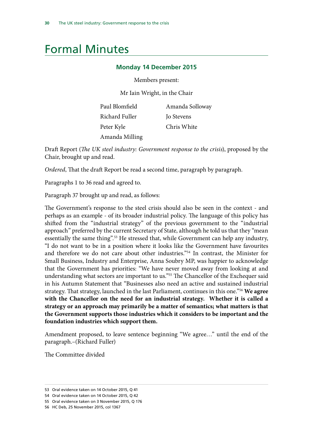## <span id="page-33-0"></span>Formal Minutes

#### **Monday 14 December 2015**

Members present:

Mr Iain Wright, in the Chair

| Paul Blomfield | Amanda Solloway   |
|----------------|-------------------|
| Richard Fuller | <b>Jo Stevens</b> |
| Peter Kyle     | Chris White       |
| Amanda Milling |                   |

Draft Report (*The UK steel industry: Government response to the crisis*), proposed by the Chair, brought up and read.

*Ordered*, That the draft Report be read a second time, paragraph by paragraph.

Paragraphs 1 to 36 read and agreed to.

Paragraph 37 brought up and read, as follows:

The Government's response to the steel crisis should also be seen in the context - and perhaps as an example - of its broader industrial policy. The language of this policy has shifted from the "industrial strategy" of the previous government to the "industrial approach" preferred by the current Secretary of State, although he told us that they "mean essentially the same thing".<sup>53</sup> He stressed that, while Government can help any industry, "I do not want to be in a position where it looks like the Government have favourites and therefore we do not care about other industries."54 In contrast, the Minister for Small Business, Industry and Enterprise, Anna Soubry MP, was happier to acknowledge that the Government has priorities: "We have never moved away from looking at and understanding what sectors are important to us."<sup>55</sup> The Chancellor of the Exchequer said in his Autumn Statement that "Businesses also need an active and sustained industrial strategy. That strategy, launched in the last Parliament, continues in this one."56 **We agree with the Chancellor on the need for an industrial strategy. Whether it is called a strategy or an approach may primarily be a matter of semantics; what matters is that the Government supports those industries which it considers to be important and the foundation industries which support them.** 

Amendment proposed, to leave sentence beginning "We agree…" until the end of the paragraph.–(Richard Fuller)

The Committee divided

<sup>53</sup> Oral evidence taken on 14 October 2015, Q 41

<sup>54</sup> Oral evidence taken on 14 October 2015, Q 42

<sup>55</sup> Oral evidence taken on 3 November 2015, Q 176

<sup>56</sup> HC Deb, 25 November 2015, col 1367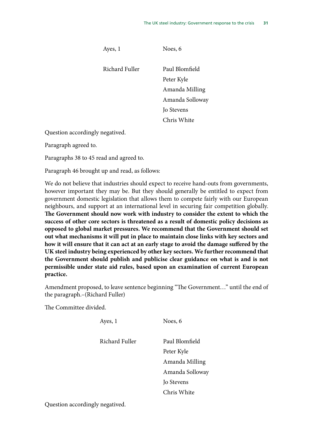Ayes, 1

Noes, 6

Richard Fuller Paul Blomfield Peter Kyle Amanda Milling Amanda Solloway Jo Stevens Chris White

Question accordingly negatived.

Paragraph agreed to.

Paragraphs 38 to 45 read and agreed to.

Paragraph 46 brought up and read, as follows:

We do not believe that industries should expect to receive hand-outs from governments, however important they may be. But they should generally be entitled to expect from government domestic legislation that allows them to compete fairly with our European neighbours, and support at an international level in securing fair competition globally. **The Government should now work with industry to consider the extent to which the success of other core sectors is threatened as a result of domestic policy decisions as opposed to global market pressures. We recommend that the Government should set out what mechanisms it will put in place to maintain close links with key sectors and how it will ensure that it can act at an early stage to avoid the damage suffered by the UK steel industry being experienced by other key sectors. We further recommend that the Government should publish and publicise clear guidance on what is and is not permissible under state aid rules, based upon an examination of current European practice.**

Amendment proposed, to leave sentence beginning "The Government…" until the end of the paragraph.–(Richard Fuller)

The Committee divided.

Ayes, 1 Richard Fuller Noes, 6 Paul Blomfield Peter Kyle Amanda Milling Amanda Solloway Jo Stevens Chris White

Question accordingly negatived.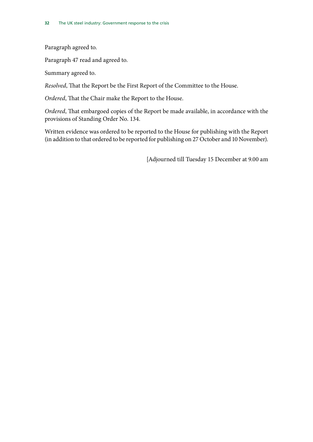Paragraph agreed to.

Paragraph 47 read and agreed to.

Summary agreed to.

*Resolved*, That the Report be the First Report of the Committee to the House.

*Ordered*, That the Chair make the Report to the House.

*Ordered*, That embargoed copies of the Report be made available, in accordance with the provisions of Standing Order No. 134.

Written evidence was ordered to be reported to the House for publishing with the Report (in addition to that ordered to be reported for publishing on 27 October and 10 November).

[Adjourned till Tuesday 15 December at 9.00 am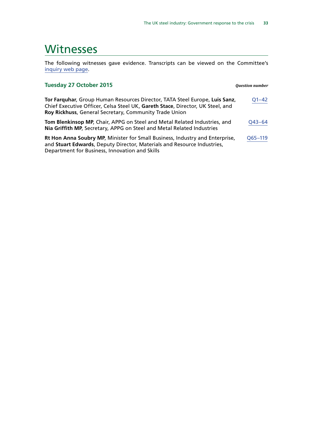## <span id="page-36-0"></span>**Witnesses**

The following witnesses gave evidence. Transcripts can be viewed on the Committee's [inquiry web page](http://www.parliament.uk/business/committees/committees-a-z/commons-select/business-innovation-and-skills/inquiries/parliament-2015/uk-steel-industry-15-16/).

#### **Tuesday 27 October 2015** *Question number* **Tor Farquhar**, Group Human Resources Director, TATA Steel Europe, **Luis Sanz**, Chief Executive Officer, Celsa Steel UK, **Gareth Stace**, Director, UK Steel, and **Roy Rickhuss**, General Secretary, Community Trade Union [Q1–42](http://data.parliament.uk/writtenevidence/committeeevidence.svc/evidencedocument/business-innovation-and-skills-committee/the-uk-steel-industry/oral/23751.html) **Tom Blenkinsop MP**, Chair, APPG on Steel and Metal Related Industries, and **Nia Griffith MP**, Secretary, APPG on Steel and Metal Related Industries [Q43–64](http://data.parliament.uk/writtenevidence/committeeevidence.svc/evidencedocument/business-innovation-and-skills-committee/the-uk-steel-industry/oral/23751.html) **Rt Hon Anna Soubry MP**, Minister for Small Business, Industry and Enterprise, and **Stuart Edwards**, Deputy Director, Materials and Resource Industries, Department for Business, Innovation and Skills [Q65–119](http://data.parliament.uk/writtenevidence/committeeevidence.svc/evidencedocument/business-innovation-and-skills-committee/the-uk-steel-industry/oral/23751.html)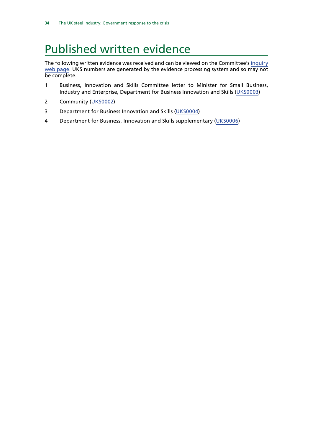## <span id="page-37-0"></span>Published written evidence

The following written evidence was received and can be viewed on the Committee's [inquiry](http://www.parliament.uk/business/committees/committees-a-z/commons-select/business-innovation-and-skills/inquiries/parliament-2015/uk-steel-industry-15-16/) [web page.](http://www.parliament.uk/business/committees/committees-a-z/commons-select/business-innovation-and-skills/inquiries/parliament-2015/uk-steel-industry-15-16/) UKS numbers are generated by the evidence processing system and so may not be complete.

- 1 Business, Innovation and Skills Committee letter to Minister for Small Business, Industry and Enterprise, Department for Business Innovation and Skills ([UKS0003\)](http://data.parliament.uk/WrittenEvidence/CommitteeEvidence.svc/EvidenceDocument/Business,%20Innovation%20and%20Skills/The%20UK%20Steel%20Industry/written/24329.html)
- 2 Community ([UKS0002\)](http://data.parliament.uk/WrittenEvidence/CommitteeEvidence.svc/EvidenceDocument/Business,%20Innovation%20and%20Skills/The%20UK%20Steel%20Industry/written/23594.html)
- 3 Department for Business Innovation and Skills ([UKS0004](http://data.parliament.uk/WrittenEvidence/CommitteeEvidence.svc/EvidenceDocument/Business,%20Innovation%20and%20Skills/The%20UK%20Steel%20Industry/written/24330.html))
- 4 Department for Business, Innovation and Skills supplementary ([UKS0006](http://data.parliament.uk/writtenevidence/committeeevidence.svc/evidencedocument/business-innovation-and-skills-committee/the-uk-steel-industry/written/26007.html))